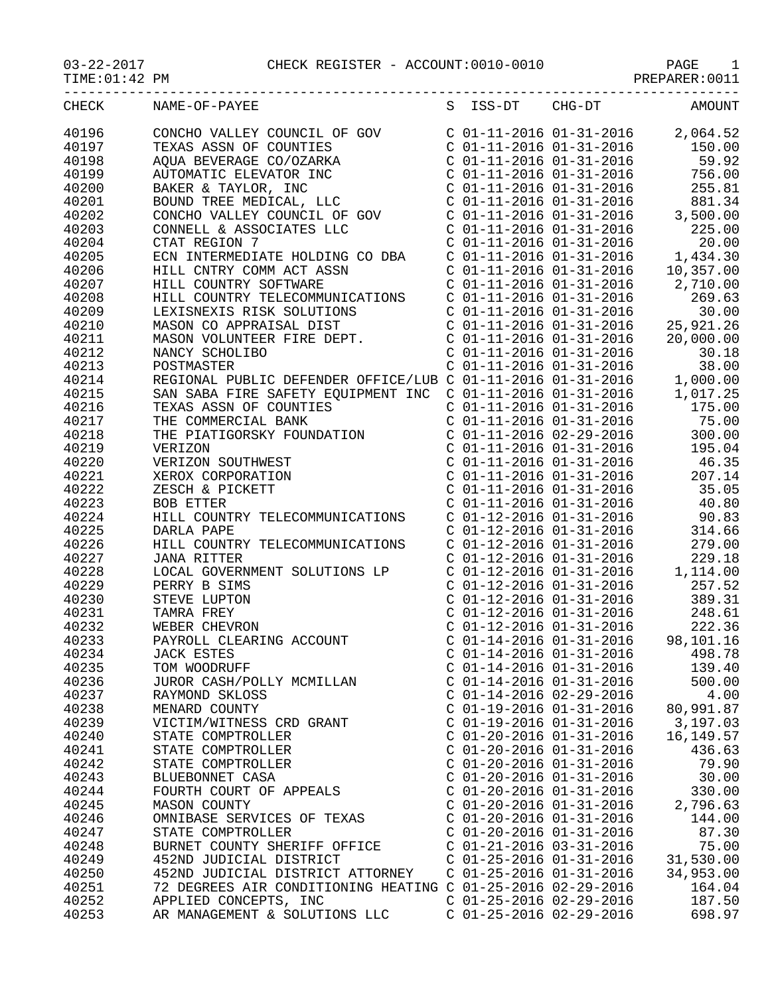## 03-22-2017 CHECK REGISTER - ACCOUNT:0010-0010 PAGE 1

PREPARER:0011

| CHECK | NAME-OF-PAYEE                                                                                                                                                                                                                                |                           |                           | S ISS-DT CHG-DT AMOUNT                                                                                                                                                                                                                    |
|-------|----------------------------------------------------------------------------------------------------------------------------------------------------------------------------------------------------------------------------------------------|---------------------------|---------------------------|-------------------------------------------------------------------------------------------------------------------------------------------------------------------------------------------------------------------------------------------|
| 40196 |                                                                                                                                                                                                                                              |                           |                           |                                                                                                                                                                                                                                           |
| 40197 |                                                                                                                                                                                                                                              |                           |                           |                                                                                                                                                                                                                                           |
| 40198 |                                                                                                                                                                                                                                              |                           |                           |                                                                                                                                                                                                                                           |
| 40199 |                                                                                                                                                                                                                                              |                           |                           |                                                                                                                                                                                                                                           |
| 40200 |                                                                                                                                                                                                                                              |                           |                           |                                                                                                                                                                                                                                           |
| 40201 |                                                                                                                                                                                                                                              |                           |                           |                                                                                                                                                                                                                                           |
| 40202 |                                                                                                                                                                                                                                              |                           |                           |                                                                                                                                                                                                                                           |
|       |                                                                                                                                                                                                                                              |                           |                           |                                                                                                                                                                                                                                           |
| 40203 |                                                                                                                                                                                                                                              |                           |                           |                                                                                                                                                                                                                                           |
| 40204 |                                                                                                                                                                                                                                              |                           |                           |                                                                                                                                                                                                                                           |
| 40205 |                                                                                                                                                                                                                                              |                           |                           |                                                                                                                                                                                                                                           |
| 40206 |                                                                                                                                                                                                                                              |                           |                           |                                                                                                                                                                                                                                           |
| 40207 | HILL CNTRY COMM ACT ASSN<br>HILL CNTRY SOFTWARE<br>COL-11-2016 01-31-2016 2,710.00<br>HILL COUNTRY TELECOMMUNICATIONS COL-11-2016 01-31-2016 269.63<br>LEXISNEXIS RISK SOLUTIONS COL-11-2016 01-31-2016 30.00<br>MASON CO APPRAISAL DI       |                           |                           |                                                                                                                                                                                                                                           |
| 40208 |                                                                                                                                                                                                                                              |                           |                           |                                                                                                                                                                                                                                           |
| 40209 |                                                                                                                                                                                                                                              |                           |                           |                                                                                                                                                                                                                                           |
| 40210 |                                                                                                                                                                                                                                              |                           |                           |                                                                                                                                                                                                                                           |
| 40211 |                                                                                                                                                                                                                                              |                           |                           |                                                                                                                                                                                                                                           |
| 40212 |                                                                                                                                                                                                                                              |                           |                           |                                                                                                                                                                                                                                           |
| 40213 |                                                                                                                                                                                                                                              |                           |                           |                                                                                                                                                                                                                                           |
| 40214 |                                                                                                                                                                                                                                              |                           |                           |                                                                                                                                                                                                                                           |
| 40215 | MANCY SCHOLIBO<br>NANCY SCHOLIBO<br>COL-11-2016 01-31-2016<br>COL-11-2016 01-31-2016<br>REGIONAL PUBLIC DEFENDER OFFICE/LUB COL-11-2016 01-31-2016<br>SAN SABA FIRE SAFETY EQUIPMENT INC COL-11-2016 01-31-2016<br>THE COMMERCIAL BANK<br>CO |                           |                           |                                                                                                                                                                                                                                           |
| 40216 | TEXAS ASSN OF COUNTIES<br>THE COMMERCIAL BANK<br>THE PIATIGORSKY FOUNDATION                                                                                                                                                                  |                           |                           |                                                                                                                                                                                                                                           |
| 40217 |                                                                                                                                                                                                                                              |                           |                           |                                                                                                                                                                                                                                           |
| 40218 |                                                                                                                                                                                                                                              |                           |                           |                                                                                                                                                                                                                                           |
| 40219 |                                                                                                                                                                                                                                              |                           |                           |                                                                                                                                                                                                                                           |
| 40220 |                                                                                                                                                                                                                                              |                           |                           |                                                                                                                                                                                                                                           |
| 40221 | VERIZON<br>VERIZON SOUTHWEST<br>XEROX CORPORATION<br>ZESCH & PICKETT<br>BOB ETTER                                                                                                                                                            |                           |                           | C 01-11-2016 02-29-2016 300.00<br>C 01-11-2016 01-31-2016 300.00<br>C 01-11-2016 01-31-2016 46.35<br>C 01-11-2016 01-31-2016 46.35<br>C 01-11-2016 01-31-2016 35.05<br>C 01-11-2016 01-31-2016 35.05                                      |
| 40222 |                                                                                                                                                                                                                                              |                           |                           |                                                                                                                                                                                                                                           |
| 40223 |                                                                                                                                                                                                                                              |                           |                           | $C$ 01-11-2016 01-31-2016 40.80                                                                                                                                                                                                           |
| 40224 | HILL COUNTRY TELECOMMUNICATIONS                                                                                                                                                                                                              |                           |                           | $\begin{array}{llll} \mbox{C} & 01-12-2016 & 01-31-2016 & 90.83 \\ \mbox{C} & 01-12-2016 & 01-31-2016 & 314.66 \\ \mbox{C} & 01-12-2016 & 01-31-2016 & 279.00 \end{array}$                                                                |
| 40225 | DARLA PAPE                                                                                                                                                                                                                                   |                           |                           |                                                                                                                                                                                                                                           |
| 40226 | HILL COUNTRY TELECOMMUNICATIONS                                                                                                                                                                                                              |                           |                           |                                                                                                                                                                                                                                           |
| 40227 | <b>JANA RITTER</b>                                                                                                                                                                                                                           |                           | $C$ 01-12-2016 01-31-2016 | 229.18                                                                                                                                                                                                                                    |
| 40228 | LOCAL GOVERNMENT SOLUTIONS LP                                                                                                                                                                                                                |                           |                           | $C$ 01-12-2016 01-31-2016 1,114.00                                                                                                                                                                                                        |
| 40229 | PERRY B SIMS<br>STEVE LUPTON<br>TAMRA FREY<br>WEBER CHEVRON<br>PAYROLL CLEARING ACCOUNT                                                                                                                                                      |                           |                           | $\begin{array}{cccccc} \texttt{c} & 01-12-2016 & 01-31-2016 & & 257.52 \ \texttt{c} & 01-12-2016 & 01-31-2016 & & 389.31 \ \texttt{c} & 01-12-2016 & 01-31-2016 & & 248.61 \ \texttt{c} & 01-12-2016 & 01-31-2016 & & 222.36 \end{array}$ |
| 40230 |                                                                                                                                                                                                                                              |                           |                           |                                                                                                                                                                                                                                           |
| 40231 |                                                                                                                                                                                                                                              |                           |                           |                                                                                                                                                                                                                                           |
| 40232 |                                                                                                                                                                                                                                              |                           |                           |                                                                                                                                                                                                                                           |
| 40233 |                                                                                                                                                                                                                                              |                           |                           | $C$ 01-14-2016 01-31-2016 98,101.16                                                                                                                                                                                                       |
| 40234 | <b>JACK ESTES</b>                                                                                                                                                                                                                            | $C$ 01-14-2016 01-31-2016 |                           | 498.78                                                                                                                                                                                                                                    |
| 40235 | TOM WOODRUFF                                                                                                                                                                                                                                 | $C$ 01-14-2016 01-31-2016 |                           | 139.40                                                                                                                                                                                                                                    |
| 40236 | JUROR CASH/POLLY MCMILLAN                                                                                                                                                                                                                    | $C$ 01-14-2016 01-31-2016 |                           | 500.00                                                                                                                                                                                                                                    |
| 40237 | RAYMOND SKLOSS                                                                                                                                                                                                                               | $C$ 01-14-2016 02-29-2016 |                           | 4.00                                                                                                                                                                                                                                      |
| 40238 | MENARD COUNTY                                                                                                                                                                                                                                | $C$ 01-19-2016 01-31-2016 |                           | 80,991.87                                                                                                                                                                                                                                 |
| 40239 | VICTIM/WITNESS CRD GRANT                                                                                                                                                                                                                     | $C$ 01-19-2016 01-31-2016 |                           | 3,197.03                                                                                                                                                                                                                                  |
| 40240 | STATE COMPTROLLER                                                                                                                                                                                                                            | $C$ 01-20-2016 01-31-2016 |                           | 16,149.57                                                                                                                                                                                                                                 |
| 40241 | STATE COMPTROLLER                                                                                                                                                                                                                            | $C$ 01-20-2016 01-31-2016 |                           | 436.63                                                                                                                                                                                                                                    |
| 40242 | STATE COMPTROLLER                                                                                                                                                                                                                            | $C$ 01-20-2016 01-31-2016 |                           | 79.90                                                                                                                                                                                                                                     |
| 40243 | BLUEBONNET CASA                                                                                                                                                                                                                              | $C$ 01-20-2016 01-31-2016 |                           | 30.00                                                                                                                                                                                                                                     |
| 40244 | FOURTH COURT OF APPEALS                                                                                                                                                                                                                      | $C$ 01-20-2016 01-31-2016 |                           | 330.00                                                                                                                                                                                                                                    |
| 40245 | MASON COUNTY                                                                                                                                                                                                                                 | $C$ 01-20-2016 01-31-2016 |                           | 2,796.63                                                                                                                                                                                                                                  |
| 40246 | OMNIBASE SERVICES OF TEXAS                                                                                                                                                                                                                   | $C$ 01-20-2016 01-31-2016 |                           | 144.00                                                                                                                                                                                                                                    |
| 40247 | STATE COMPTROLLER                                                                                                                                                                                                                            | $C$ 01-20-2016 01-31-2016 |                           | 87.30                                                                                                                                                                                                                                     |
| 40248 | BURNET COUNTY SHERIFF OFFICE                                                                                                                                                                                                                 | $C$ 01-21-2016 03-31-2016 |                           | 75.00                                                                                                                                                                                                                                     |
| 40249 | 452ND JUDICIAL DISTRICT                                                                                                                                                                                                                      | $C$ 01-25-2016 01-31-2016 |                           | 31,530.00                                                                                                                                                                                                                                 |
| 40250 | 452ND JUDICIAL DISTRICT ATTORNEY                                                                                                                                                                                                             | $C$ 01-25-2016 01-31-2016 |                           | 34,953.00                                                                                                                                                                                                                                 |
| 40251 | 72 DEGREES AIR CONDITIONING HEATING C 01-25-2016 02-29-2016                                                                                                                                                                                  |                           |                           | 164.04                                                                                                                                                                                                                                    |
| 40252 | APPLIED CONCEPTS, INC                                                                                                                                                                                                                        | $C$ 01-25-2016 02-29-2016 |                           | 187.50                                                                                                                                                                                                                                    |
| 40253 | AR MANAGEMENT & SOLUTIONS LLC                                                                                                                                                                                                                | $C$ 01-25-2016 02-29-2016 |                           | 698.97                                                                                                                                                                                                                                    |
|       |                                                                                                                                                                                                                                              |                           |                           |                                                                                                                                                                                                                                           |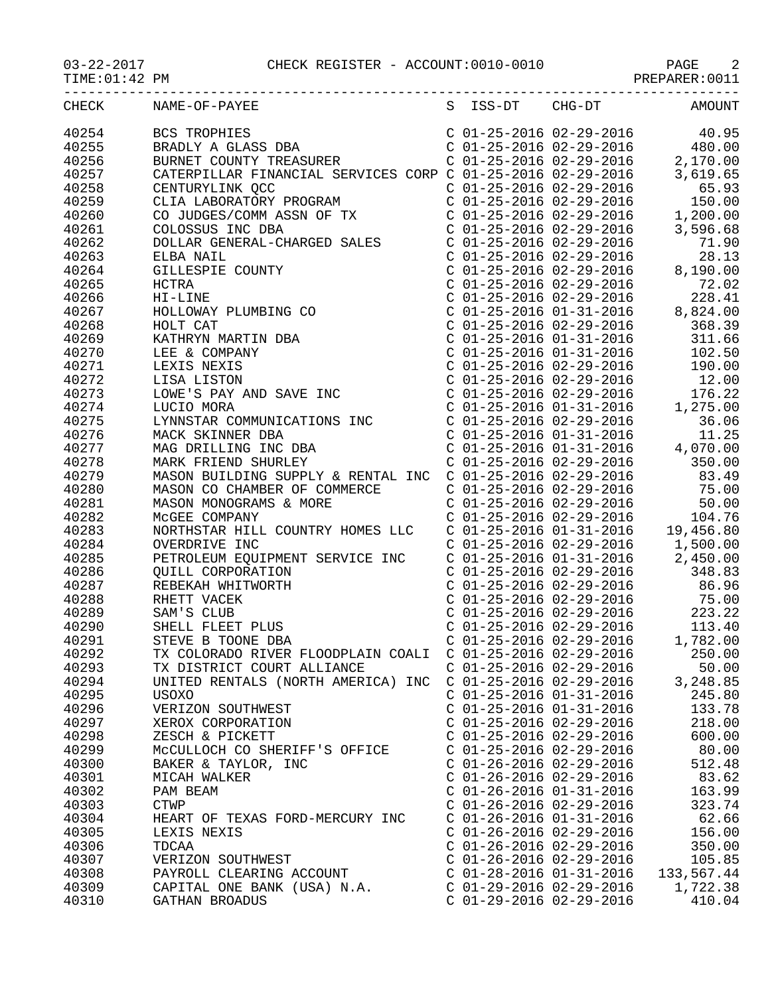| TIME: 01:42 PM |                                                                                                                                                                                                                                                                                                                                                                                                                                                                                                                          |                           |                                                                                                                                                                                                    |
|----------------|--------------------------------------------------------------------------------------------------------------------------------------------------------------------------------------------------------------------------------------------------------------------------------------------------------------------------------------------------------------------------------------------------------------------------------------------------------------------------------------------------------------------------|---------------------------|----------------------------------------------------------------------------------------------------------------------------------------------------------------------------------------------------|
| CHECK          | NAME-OF-PAYEE                                                                                                                                                                                                                                                                                                                                                                                                                                                                                                            | S ISS-DT CHG-DT           | <b>AMOUNT</b>                                                                                                                                                                                      |
| 40254          | BCS TROPHIES<br>BRADLY A GLASS DBA<br>BURNET COUNTY TREASURER<br>BCS TROPHIES<br>BRADLY A GLASS DBA<br>BURNET COUNTY TREASURER<br>C 01-25-2016 02-29-2016 480.00<br>C 01-25-2016 02-29-2016 2,170.00<br>CATERPILLAR FINANCIAL SERVICES CORP C 01-25-2016 02-29-2016 3,619.65<br>CENTIPYLINK OCC                                                                                                                                                                                                                          |                           |                                                                                                                                                                                                    |
| 40255          |                                                                                                                                                                                                                                                                                                                                                                                                                                                                                                                          |                           |                                                                                                                                                                                                    |
| 40256          |                                                                                                                                                                                                                                                                                                                                                                                                                                                                                                                          |                           |                                                                                                                                                                                                    |
| 40257          |                                                                                                                                                                                                                                                                                                                                                                                                                                                                                                                          |                           |                                                                                                                                                                                                    |
| 40258          |                                                                                                                                                                                                                                                                                                                                                                                                                                                                                                                          |                           | $C$ 01-25-2016 02-29-2016 65.93                                                                                                                                                                    |
| 40259          |                                                                                                                                                                                                                                                                                                                                                                                                                                                                                                                          |                           | 150.00                                                                                                                                                                                             |
| 40260          |                                                                                                                                                                                                                                                                                                                                                                                                                                                                                                                          |                           | 1,200.00                                                                                                                                                                                           |
| 40261          |                                                                                                                                                                                                                                                                                                                                                                                                                                                                                                                          |                           | 3,596.68                                                                                                                                                                                           |
| 40262          |                                                                                                                                                                                                                                                                                                                                                                                                                                                                                                                          |                           | 71.90                                                                                                                                                                                              |
|                |                                                                                                                                                                                                                                                                                                                                                                                                                                                                                                                          |                           | 28.13                                                                                                                                                                                              |
| 40263          |                                                                                                                                                                                                                                                                                                                                                                                                                                                                                                                          |                           |                                                                                                                                                                                                    |
| 40264          |                                                                                                                                                                                                                                                                                                                                                                                                                                                                                                                          |                           | 8,190.00                                                                                                                                                                                           |
| 40265          |                                                                                                                                                                                                                                                                                                                                                                                                                                                                                                                          |                           |                                                                                                                                                                                                    |
| 40266          |                                                                                                                                                                                                                                                                                                                                                                                                                                                                                                                          |                           | C 01-25-2016 02-29-2016 72.02<br>C 01-25-2016 02-29-2016 228.41<br>C 01-25-2016 01-31-2016 8,824.00<br>C 01-25-2016 02-29-2016 8,824.00<br>C 01-25-2016 01-31-2016 311.66                          |
| 40267          |                                                                                                                                                                                                                                                                                                                                                                                                                                                                                                                          |                           |                                                                                                                                                                                                    |
| 40268          |                                                                                                                                                                                                                                                                                                                                                                                                                                                                                                                          |                           |                                                                                                                                                                                                    |
| 40269          |                                                                                                                                                                                                                                                                                                                                                                                                                                                                                                                          |                           |                                                                                                                                                                                                    |
| 40270          |                                                                                                                                                                                                                                                                                                                                                                                                                                                                                                                          |                           |                                                                                                                                                                                                    |
| 40271          |                                                                                                                                                                                                                                                                                                                                                                                                                                                                                                                          |                           |                                                                                                                                                                                                    |
| 40272          |                                                                                                                                                                                                                                                                                                                                                                                                                                                                                                                          |                           |                                                                                                                                                                                                    |
| 40273          |                                                                                                                                                                                                                                                                                                                                                                                                                                                                                                                          |                           |                                                                                                                                                                                                    |
| 40274          |                                                                                                                                                                                                                                                                                                                                                                                                                                                                                                                          |                           | C 01-25-2016 01-31-2016<br>C 01-25-2016 02-29-2016 102.50<br>C 01-25-2016 02-29-2016 190.00<br>C 01-25-2016 02-29-2016 12.00<br>C 01-25-2016 02-29-2016 176.22<br>C 01-25-2016 01-31-2016 1,275.00 |
| 40275          |                                                                                                                                                                                                                                                                                                                                                                                                                                                                                                                          |                           |                                                                                                                                                                                                    |
| 40276          |                                                                                                                                                                                                                                                                                                                                                                                                                                                                                                                          |                           |                                                                                                                                                                                                    |
| 40277          | CATERPILLAR FINANCIAL SERVICES CORP<br>CENTURYLINK QCC<br>CLIA LABORATORY PROGRAM<br>CO JUDEES/COMM ASSN OF TX<br>COLOSSUS INC DBA<br>DOLLAR GENERAL-CHARGED SALES<br>ELBA NAIL<br>GILLESPIE COUNTY<br>HCTRA<br>HIJLESPIE COUNTY<br>HCTRA<br>HOLLOWAY PLUMBING<br>1,25<br>1,25<br>MACK SKINNER DBA<br>MACK SKINNER DBA<br>MACK SKINNER DBA<br>MACK SKINNER DBA<br>MACK SKINNER DBA<br>C 01-25-2016 01-31-2016<br>C 01-25-2016 01-31-2016<br>C 01-25-2016 01-31-2016<br>4,070.00<br>MARK FRIEND SHURLEY<br>C 01-25-2016 0 |                           |                                                                                                                                                                                                    |
| 40278          |                                                                                                                                                                                                                                                                                                                                                                                                                                                                                                                          |                           |                                                                                                                                                                                                    |
| 40279          |                                                                                                                                                                                                                                                                                                                                                                                                                                                                                                                          |                           |                                                                                                                                                                                                    |
| 40280          |                                                                                                                                                                                                                                                                                                                                                                                                                                                                                                                          |                           | C 01-25-2016 02-29-2016 75.00                                                                                                                                                                      |
| 40281          | MASON CO CHAMBER OF COMMERCE<br>MASON MONOGRAMS & MORE<br>MCGEE COMPANY                                                                                                                                                                                                                                                                                                                                                                                                                                                  |                           |                                                                                                                                                                                                    |
| 40282          | MASON MONOGRAMS & MORE<br>McGEE COMPANY<br>MCGEE COMPANY<br>MORTHSTAR HILL COUNTRY HOMES LLC<br>MORTHSTAR HILL COUNTRY HOMES LLC<br>C 01-25-2016 01-31-2016 19,456.80                                                                                                                                                                                                                                                                                                                                                    |                           |                                                                                                                                                                                                    |
| 40283          |                                                                                                                                                                                                                                                                                                                                                                                                                                                                                                                          |                           |                                                                                                                                                                                                    |
|                |                                                                                                                                                                                                                                                                                                                                                                                                                                                                                                                          |                           | $C$ 01-25-2016 02-29-2016 1,500.00                                                                                                                                                                 |
| 40284          | OVERDRIVE INC                                                                                                                                                                                                                                                                                                                                                                                                                                                                                                            |                           |                                                                                                                                                                                                    |
| 40285          | PETROLEUM EQUIPMENT SERVICE INC                                                                                                                                                                                                                                                                                                                                                                                                                                                                                          |                           | $C$ 01-25-2016 01-31-2016 2,450.00                                                                                                                                                                 |
| 40286          | QUILL CORPORATION                                                                                                                                                                                                                                                                                                                                                                                                                                                                                                        |                           |                                                                                                                                                                                                    |
| 40287          | TON<br>NTON<br>US<br>DN<br>REBEKAH WHITWORTH                                                                                                                                                                                                                                                                                                                                                                                                                                                                             |                           | C 01-25-2016 02-29-2016 348.83<br>C 01-25-2016 02-29-2016 348.83<br>C 01-25-2016 02-29-2016 86.96<br>C 01-25-2016 02-29-2016 75.00<br>C 01-25-2016 02-29-2016 223.22                               |
| 40288          | RHETT VACEK                                                                                                                                                                                                                                                                                                                                                                                                                                                                                                              |                           |                                                                                                                                                                                                    |
| 40289          | SAM'S CLUB                                                                                                                                                                                                                                                                                                                                                                                                                                                                                                               |                           |                                                                                                                                                                                                    |
| 40290          | SHELL FLEET PLUS                                                                                                                                                                                                                                                                                                                                                                                                                                                                                                         | $C$ 01-25-2016 02-29-2016 | 113.40                                                                                                                                                                                             |
| 40291          | STEVE B TOONE DBA                                                                                                                                                                                                                                                                                                                                                                                                                                                                                                        | $C$ 01-25-2016 02-29-2016 | 1,782.00                                                                                                                                                                                           |
| 40292          | TX COLORADO RIVER FLOODPLAIN COALI                                                                                                                                                                                                                                                                                                                                                                                                                                                                                       | $C$ 01-25-2016 02-29-2016 | 250.00                                                                                                                                                                                             |
| 40293          | TX DISTRICT COURT ALLIANCE                                                                                                                                                                                                                                                                                                                                                                                                                                                                                               | $C$ 01-25-2016 02-29-2016 | 50.00                                                                                                                                                                                              |
| 40294          | UNITED RENTALS (NORTH AMERICA) INC                                                                                                                                                                                                                                                                                                                                                                                                                                                                                       | $C$ 01-25-2016 02-29-2016 | 3,248.85                                                                                                                                                                                           |
| 40295          | <b>USOXO</b>                                                                                                                                                                                                                                                                                                                                                                                                                                                                                                             | $C$ 01-25-2016 01-31-2016 | 245.80                                                                                                                                                                                             |
| 40296          | VERIZON SOUTHWEST                                                                                                                                                                                                                                                                                                                                                                                                                                                                                                        | $C$ 01-25-2016 01-31-2016 | 133.78                                                                                                                                                                                             |
| 40297          | XEROX CORPORATION                                                                                                                                                                                                                                                                                                                                                                                                                                                                                                        | $C$ 01-25-2016 02-29-2016 | 218.00                                                                                                                                                                                             |
| 40298          | ZESCH & PICKETT                                                                                                                                                                                                                                                                                                                                                                                                                                                                                                          | $C$ 01-25-2016 02-29-2016 | 600.00                                                                                                                                                                                             |
| 40299          | MCCULLOCH CO SHERIFF'S OFFICE                                                                                                                                                                                                                                                                                                                                                                                                                                                                                            | $C$ 01-25-2016 02-29-2016 | 80.00                                                                                                                                                                                              |
| 40300          | BAKER & TAYLOR, INC                                                                                                                                                                                                                                                                                                                                                                                                                                                                                                      | $C$ 01-26-2016 02-29-2016 | 512.48                                                                                                                                                                                             |
| 40301          | MICAH WALKER                                                                                                                                                                                                                                                                                                                                                                                                                                                                                                             | $C$ 01-26-2016 02-29-2016 | 83.62                                                                                                                                                                                              |
| 40302          | PAM BEAM                                                                                                                                                                                                                                                                                                                                                                                                                                                                                                                 | $C$ 01-26-2016 01-31-2016 | 163.99                                                                                                                                                                                             |
| 40303          | <b>CTWP</b>                                                                                                                                                                                                                                                                                                                                                                                                                                                                                                              | $C$ 01-26-2016 02-29-2016 | 323.74                                                                                                                                                                                             |
| 40304          | HEART OF TEXAS FORD-MERCURY INC                                                                                                                                                                                                                                                                                                                                                                                                                                                                                          | $C$ 01-26-2016 01-31-2016 | 62.66                                                                                                                                                                                              |
| 40305          | LEXIS NEXIS                                                                                                                                                                                                                                                                                                                                                                                                                                                                                                              | $C$ 01-26-2016 02-29-2016 | 156.00                                                                                                                                                                                             |
| 40306          | TDCAA                                                                                                                                                                                                                                                                                                                                                                                                                                                                                                                    | $C$ 01-26-2016 02-29-2016 | 350.00                                                                                                                                                                                             |
|                | VERIZON SOUTHWEST                                                                                                                                                                                                                                                                                                                                                                                                                                                                                                        |                           |                                                                                                                                                                                                    |
| 40307          |                                                                                                                                                                                                                                                                                                                                                                                                                                                                                                                          | $C$ 01-26-2016 02-29-2016 | 105.85                                                                                                                                                                                             |
| 40308          | PAYROLL CLEARING ACCOUNT                                                                                                                                                                                                                                                                                                                                                                                                                                                                                                 | $C$ 01-28-2016 01-31-2016 | 133,567.44                                                                                                                                                                                         |
| 40309          | CAPITAL ONE BANK (USA) N.A.                                                                                                                                                                                                                                                                                                                                                                                                                                                                                              | $C$ 01-29-2016 02-29-2016 | 1,722.38                                                                                                                                                                                           |
| 40310          | GATHAN BROADUS                                                                                                                                                                                                                                                                                                                                                                                                                                                                                                           | $C$ 01-29-2016 02-29-2016 | 410.04                                                                                                                                                                                             |